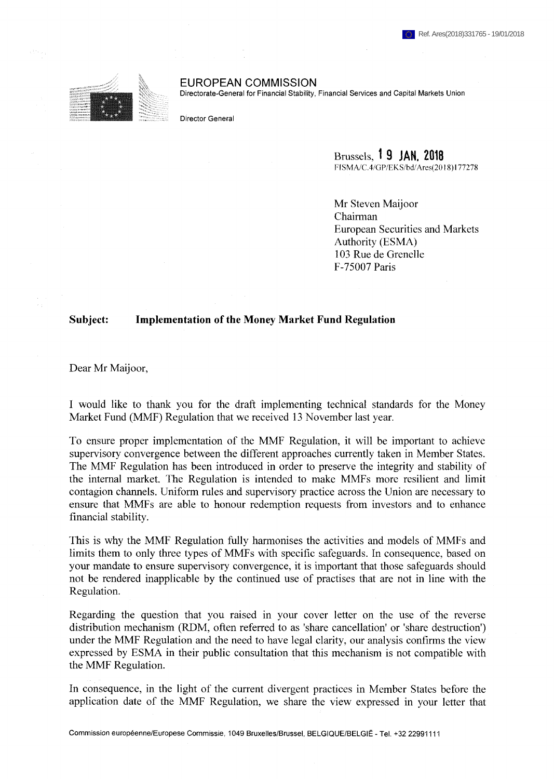## EUROPEAN COMMISSION

Directorate-General for Financial Stability, Financial Services and Capital Markets Union

Director General

Brussels, t 9 JAN. 2018 FISMA/C.4/GP/EKS/bd/Ares(2018) 177278

Mr Steven Maijoor Chairman European Securities and Markets Authority (ESMA) 103 Rue de Grenelle F-75007 Paris

## **Subject: Implementation of the Money Market Fund Regulation**

Dear Mr Maijoor,

I would like to thank you for the draft implementing technical standards for the Money Market Fund (MMF) Regulation that we received 13 November last year.

To ensure proper implementation of the MMF Regulation, it will be important to achieve supervisory convergence between the different approaches currently taken in Member States. The MMF Regulation has been introduced in order to preserve the integrity and stability of the internal market. The Regulation is intended to make MMFs more resilient and limit contagion channels. Uniform rules and supervisory practice across the Union are necessary to ensure that MMFs are able to honour redemption requests from investors and to enhance financial stability.

This is why the MMF Regulation fully harmonises the activities and models of MMFs and limits them to only three types of MMFs with specific safeguards. In consequence, based on your mandate to ensure supervisory convergence, it is important that those safeguards should not be rendered inapplicable by the continued use of practises that are not in line with the Regulation.

Regarding the question that you raised in your cover letter on the use of the reverse distribution mechanism (RDM, often referred to as 'share cancellation' or 'share destruction') under the MMF Regulation and the need to have legal clarity, our analysis confirms the view expressed by ESMA in their public consultation that this mechanism is not compatible with the MMF Regulation.

In consequence, in the light of the current divergent practices in Member States before the application date of the MMF Regulation, we share the view expressed in your letter that